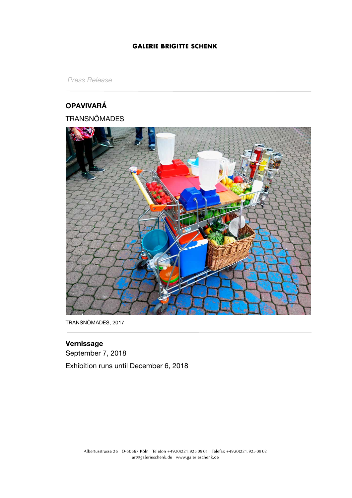*Press Release*

# **OPAVIVARÁ**

# **TRANSNÔMADES**



TRANSNÔMADES, 2017

# **Vernissage**

September 7, 2018

Exhibition runs until December 6, 2018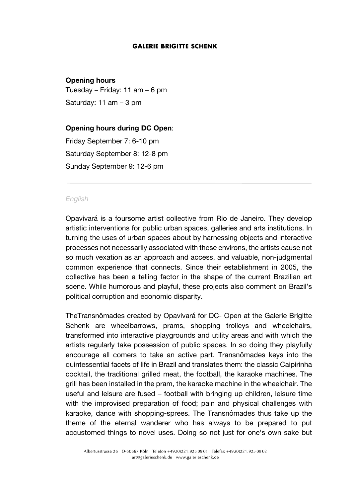### **Opening hours**

Tuesday – Friday: 11 am – 6 pm Saturday: 11 am – 3 pm

**Opening hours during DC Open**: Friday September 7: 6-10 pm Saturday September 8: 12-8 pm Sunday September 9: 12-6 pm

#### *English*

Opavivará is a foursome artist collective from Rio de Janeiro. They develop artistic interventions for public urban spaces, galleries and arts institutions. In turning the uses of urban spaces about by harnessing objects and interactive processes not necessarily associated with these environs, the artists cause not so much vexation as an approach and access, and valuable, non-judgmental common experience that connects. Since their establishment in 2005, the collective has been a telling factor in the shape of the current Brazilian art scene. While humorous and playful, these projects also comment on Brazil's political corruption and economic disparity.

TheTransnômades created by Opavivará for DC- Open at the Galerie Brigitte Schenk are wheelbarrows, prams, shopping trolleys and wheelchairs, transformed into interactive playgrounds and utility areas and with which the artists regularly take possession of public spaces. In so doing they playfully encourage all comers to take an active part. Transnômades keys into the quintessential facets of life in Brazil and translates them: the classic Caipirinha cocktail, the traditional grilled meat, the football, the karaoke machines. The grill has been installed in the pram, the karaoke machine in the wheelchair. The useful and leisure are fused – football with bringing up children, leisure time with the improvised preparation of food; pain and physical challenges with karaoke, dance with shopping-sprees. The Transnômades thus take up the theme of the eternal wanderer who has always to be prepared to put accustomed things to novel uses. Doing so not just for one's own sake but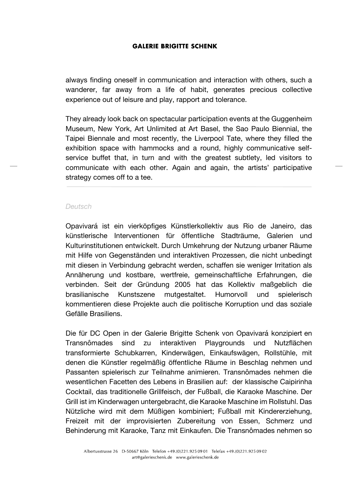always finding oneself in communication and interaction with others, such a wanderer, far away from a life of habit, generates precious collective experience out of leisure and play, rapport and tolerance.

They already look back on spectacular participation events at the Guggenheim Museum, New York, Art Unlimited at Art Basel, the Sao Paulo Biennial, the Taipei Biennale and most recently, the Liverpool Tate, where they filled the exhibition space with hammocks and a round, highly communicative selfservice buffet that, in turn and with the greatest subtlety, led visitors to communicate with each other. Again and again, the artists' participative strategy comes off to a tee.

### *Deutsch*

Opavivará ist ein vierköpfiges Künstlerkollektiv aus Rio de Janeiro, das künstlerische Interventionen für öffentliche Stadträume, Galerien und Kulturinstitutionen entwickelt. Durch Umkehrung der Nutzung urbaner Räume mit Hilfe von Gegenständen und interaktiven Prozessen, die nicht unbedingt mit diesen in Verbindung gebracht werden, schaffen sie weniger Irritation als Annäherung und kostbare, wertfreie, gemeinschaftliche Erfahrungen, die verbinden. Seit der Gründung 2005 hat das Kollektiv maßgeblich die brasilianische Kunstszene mutgestaltet. Humorvoll und spielerisch kommentieren diese Projekte auch die politische Korruption und das soziale Gefälle Brasiliens.

Die für DC Open in der Galerie Brigitte Schenk von Opavivará konzipiert en Transnômades sind zu interaktiven Playgrounds und Nutzflächen transformierte Schubkarren, Kinderwägen, Einkaufswägen, Rollstühle, mit denen die Künstler regelmäßig öffentliche Räume in Beschlag nehmen und Passanten spielerisch zur Teilnahme animieren. Transnômades nehmen die wesentlichen Facetten des Lebens in Brasilien auf: der klassische Caipirinha Cocktail, das traditionelle Grillfeisch, der Fußball, die Karaoke Maschine. Der Grill ist im Kinderwagen untergebracht, die Karaoke Maschine im Rollstuhl. Das Nützliche wird mit dem Müßigen kombiniert; Fußball mit Kindererziehung, Freizeit mit der improvisierten Zubereitung von Essen, Schmerz und Behinderung mit Karaoke, Tanz mit Einkaufen. Die Transnômades nehmen so